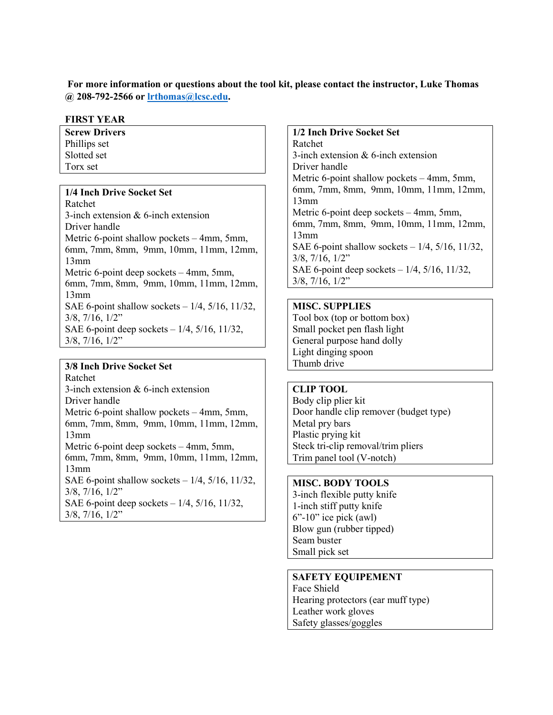**For more information or questions about the tool kit, please contact the instructor, Luke Thomas @ 208-792-2566 or [lrthomas@lcsc.edu.](mailto:lrthomas@lcsc.edu)** 

### **FIRST YEAR**

**Screw Drivers** Phillips set Slotted set Torx set

### **1/4 Inch Drive Socket Set**

Ratchet 3-inch extension & 6-inch extension Driver handle Metric 6-point shallow pockets – 4mm, 5mm, 6mm, 7mm, 8mm, 9mm, 10mm, 11mm, 12mm, 13mm Metric 6-point deep sockets – 4mm, 5mm, 6mm, 7mm, 8mm, 9mm, 10mm, 11mm, 12mm, 13mm SAE 6-point shallow sockets  $-1/4$ ,  $5/16$ ,  $11/32$ , 3/8, 7/16, 1/2" SAE 6-point deep sockets – 1/4, 5/16, 11/32,  $3/8$ ,  $7/16$ ,  $1/2$ "

### **3/8 Inch Drive Socket Set**

Ratchet 3-inch extension & 6-inch extension Driver handle Metric 6-point shallow pockets – 4mm, 5mm, 6mm, 7mm, 8mm, 9mm, 10mm, 11mm, 12mm, 13mm Metric 6-point deep sockets – 4mm, 5mm, 6mm, 7mm, 8mm, 9mm, 10mm, 11mm, 12mm, 13mm SAE 6-point shallow sockets – 1/4, 5/16, 11/32, 3/8, 7/16, 1/2" SAE 6-point deep sockets – 1/4, 5/16, 11/32, 3/8, 7/16, 1/2"

**1/2 Inch Drive Socket Set** Ratchet 3-inch extension & 6-inch extension Driver handle Metric 6-point shallow pockets – 4mm, 5mm, 6mm, 7mm, 8mm, 9mm, 10mm, 11mm, 12mm, 13mm Metric 6-point deep sockets – 4mm, 5mm, 6mm, 7mm, 8mm, 9mm, 10mm, 11mm, 12mm, 13mm SAE 6-point shallow sockets – 1/4, 5/16, 11/32, 3/8, 7/16, 1/2" SAE 6-point deep sockets – 1/4, 5/16, 11/32, 3/8, 7/16, 1/2"

### **MISC. SUPPLIES**

Tool box (top or bottom box) Small pocket pen flash light General purpose hand dolly Light dinging spoon Thumb drive

## **CLIP TOOL**

Body clip plier kit Door handle clip remover (budget type) Metal pry bars Plastic prying kit Steck tri-clip removal/trim pliers Trim panel tool (V-notch)

# **MISC. BODY TOOLS**

3-inch flexible putty knife 1-inch stiff putty knife  $6"$ -10" ice pick (awl) Blow gun (rubber tipped) Seam buster Small pick set

### **SAFETY EQUIPEMENT**

Face Shield Hearing protectors (ear muff type) Leather work gloves Safety glasses/goggles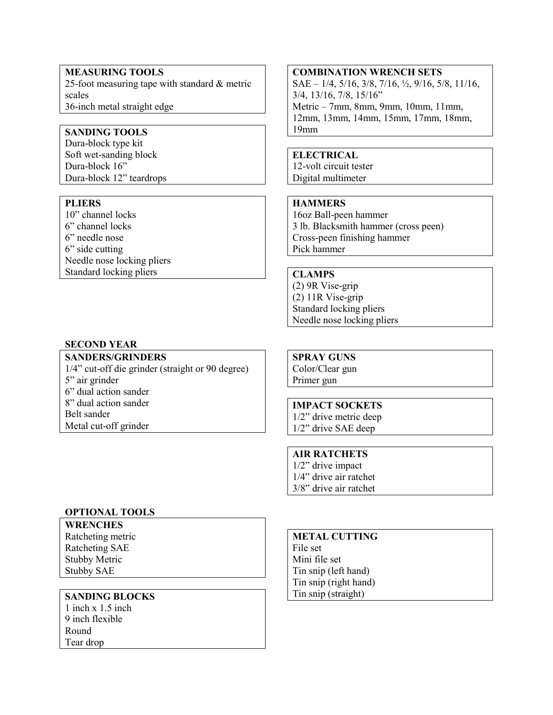### **MEASURING TOOLS**

25-foot measuring tape with standard & metric scales 36-inch metal straight edge

## **SANDING TOOLS**

Dura-block type kit Soft wet-sanding block Dura-block 16" Dura-block 12" teardrops

### **PLIERS**

10" channel locks 6" channel locks 6" needle nose 6" side cutting Needle nose locking pliers Standard locking pliers

### **SECOND YEAR**

### **SANDERS/GRINDERS**

1/4" cut-off die grinder (straight or 90 degree) 5" air grinder 6" dual action sander 8" dual action sander Belt sander Metal cut-off grinder

### **OPTIONAL TOOLS**

**WRENCHES**

Ratcheting metric Ratcheting SAE Stubby Metric Stubby SAE

### **SANDING BLOCKS**

1 inch x 1.5 inch 9 inch flexible Round Tear drop

#### **COMBINATION WRENCH SETS**

SAE – 1/4, 5/16, 3/8, 7/16, ½, 9/16, 5/8, 11/16, 3/4, 13/16, 7/8, 15/16" Metric – 7mm, 8mm, 9mm, 10mm, 11mm, 12mm, 13mm, 14mm, 15mm, 17mm, 18mm, 19mm

## **ELECTRICAL**

12-volt circuit tester Digital multimeter

## **HAMMERS**

16oz Ball-peen hammer 3 lb. Blacksmith hammer (cross peen) Cross-peen finishing hammer Pick hammer

## **CLAMPS**

(2) 9R Vise-grip (2) 11R Vise-grip Standard locking pliers Needle nose locking pliers

# **SPRAY GUNS**

Color/Clear gun Primer gun

## **IMPACT SOCKETS**

1/2" drive metric deep 1/2" drive SAE deep

## **AIR RATCHETS**

1/2" drive impact 1/4" drive air ratchet 3/8" drive air ratchet

## **METAL CUTTING**

File set Mini file set Tin snip (left hand) Tin snip (right hand) Tin snip (straight)